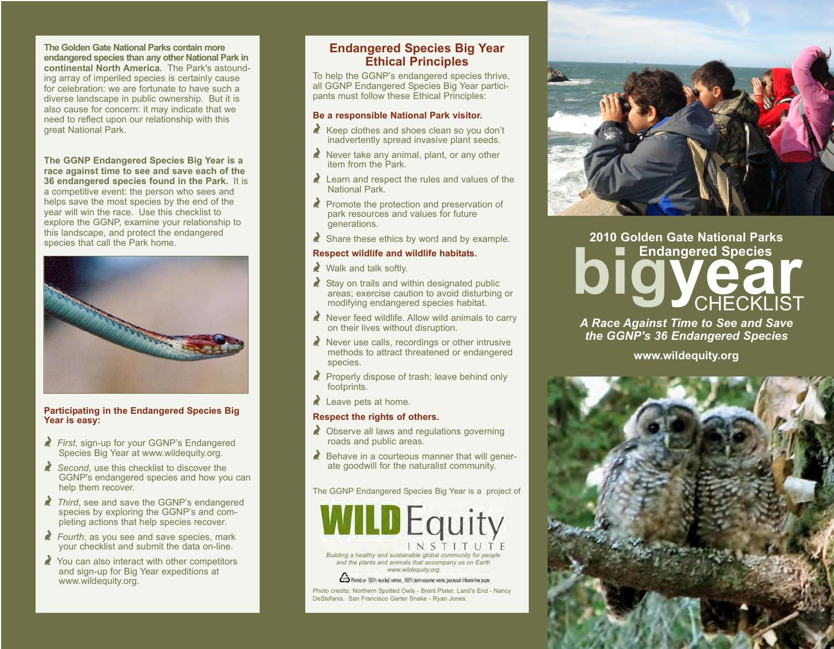**The Golden Gate National Parks contain more endangered species than any other National Park in continental North America.** The Park's astounding array of imperiled species is certainly cause for celebration: we are fortunate to have such a diverse landscape in public ownership. But it is also cause for concern: it may indicate that we need to reflect upon our relationship with this great National Park.

**The GGNP Endangered Species Big Year is a race against time to see and save each of the 36 endangered species found in the Park.** It is a competitive event: the person who sees and helps save the most species by the end of the year will win the race. Use this checklist to explore the GGNP, examine your relationship to this landscape, and protect the endangered species that call the Park home.



#### **Participating in the Endangered Species Big Year is easy:**

- Y *First*, sign-up for your GGNP's Endangered Species Big Year at www.wildequity.org.
- Second, use this checklist to discover the GGNP's endangered species and how you can help them recover.
- **Third, see and save the GGNP's endangered** species by exploring the GGNP's and completing actions that help species recover.
- **Fourth, as you see and save species, mark** your checklist and submit the data on-line.
- $\triangle$  You can also interact with other competitors and sign-up for Big Year expeditions at www.wildequity.org.

## **Endangered Species Big Year Ethical Principles**

To help the GGNP's endangered species thrive, all GGNP Endangered Species Big Year participants must follow these Ethical Principles:

#### **Be a responsible National Park visitor.**

- $\triangle$  Keep clothes and shoes clean so you don't inadvertently spread invasive plant seeds.
- $\triangle$  Never take any animal, plant, or any other item from the Park.
- $\lambda$  Learn and respect the rules and values of the National Park.
- $\triangle$  Promote the protection and preservation of park resources and values for future generations.
- $\triangle$  Share these ethics by word and by example.

#### **Respect wildlife and wildlife habitats.**

 $\blacktriangleright$  Walk and talk softly.

- $\triangle$  Stay on trails and within designated public areas; exercise caution to avoid disturbing or modifying endangered species habitat.
- $\lambda$  Never feed wildlife. Allow wild animals to carry on their lives without disruption.
- $\triangle$  Never use calls, recordings or other intrusive methods to attract threatened or endangered species.
- Properly dispose of trash; leave behind only footprints.
- $\triangle$  Leave pets at home.

#### **Respect the rights of others.**

- $\triangle$  Observe all laws and regulations governing roads and public areas.
- $\triangle$  Behave in a courteous manner that will generate goodwill for the naturalist community.

The GGNP Endangered Species Big Year is a project of



*and the plants and animals that accompany us on Earth www.wildequity.org*

to Printed on 100% recycled content, 100% post-colourner waste, processed chlorine-free poper. Photo credits: Northern Spotted Owls - Brent Plater. Land's End - Nancy DeStefanis. San Francisco Garter Snake - Ryan Jones.

# **biggered Species 2010 Golden Gate National Parks CHECKLIST**

*A Race Against Time to See and Save the GGNP's 36 Endangered Species*

**www.wildequity.org**